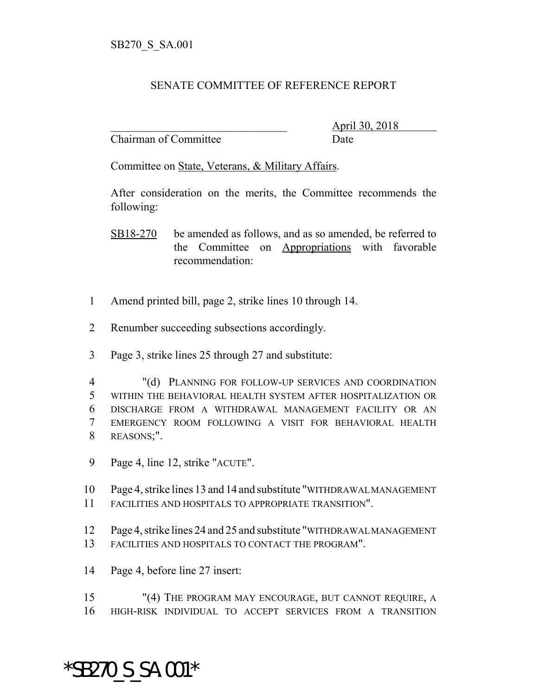## SENATE COMMITTEE OF REFERENCE REPORT

Chairman of Committee Date

\_\_\_\_\_\_\_\_\_\_\_\_\_\_\_\_\_\_\_\_\_\_\_\_\_\_\_\_\_\_\_ April 30, 2018

Committee on State, Veterans, & Military Affairs.

After consideration on the merits, the Committee recommends the following:

- SB18-270 be amended as follows, and as so amended, be referred to the Committee on Appropriations with favorable recommendation:
- 1 Amend printed bill, page 2, strike lines 10 through 14.
- 2 Renumber succeeding subsections accordingly.
- 3 Page 3, strike lines 25 through 27 and substitute:
- 4 "(d) PLANNING FOR FOLLOW-UP SERVICES AND COORDINATION 5 WITHIN THE BEHAVIORAL HEALTH SYSTEM AFTER HOSPITALIZATION OR 6 DISCHARGE FROM A WITHDRAWAL MANAGEMENT FACILITY OR AN 7 EMERGENCY ROOM FOLLOWING A VISIT FOR BEHAVIORAL HEALTH 8 REASONS;".
- 9 Page 4, line 12, strike "ACUTE".
- 10 Page 4, strike lines 13 and 14 and substitute "WITHDRAWAL MANAGEMENT 11 FACILITIES AND HOSPITALS TO APPROPRIATE TRANSITION".
- 12 Page 4, strike lines 24 and 25 and substitute "WITHDRAWAL MANAGEMENT 13 FACILITIES AND HOSPITALS TO CONTACT THE PROGRAM".
- 14 Page 4, before line 27 insert:
- 15 "(4) THE PROGRAM MAY ENCOURAGE, BUT CANNOT REQUIRE, A 16 HIGH-RISK INDIVIDUAL TO ACCEPT SERVICES FROM A TRANSITION

## \*SB270\_S\_SA.001\*